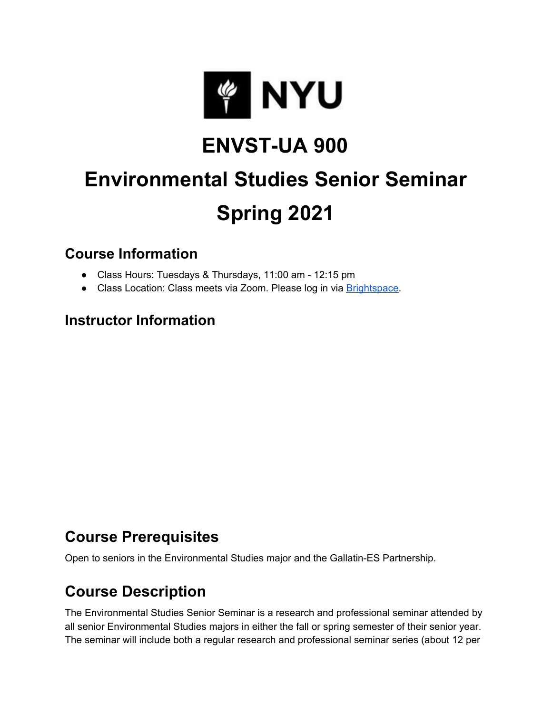

## **ENVST-UA 900**

# **Environmental Studies Senior Seminar Spring 2021**

#### **Course Information**

- Class Hours: Tuesdays & Thursdays, 11:00 am 12:15 pm
- Class Location: Class meets via Zoom. Please log in via [Brightspace](http://brightspace.nyu.edu/).

#### **Instructor Information**

#### **Course Prerequisites**

Open to seniors in the Environmental Studies major and the Gallatin-ES Partnership.

## **Course Description**

The Environmental Studies Senior Seminar is a research and professional seminar attended by all senior Environmental Studies majors in either the fall or spring semester of their senior year. The seminar will include both a regular research and professional seminar series (about 12 per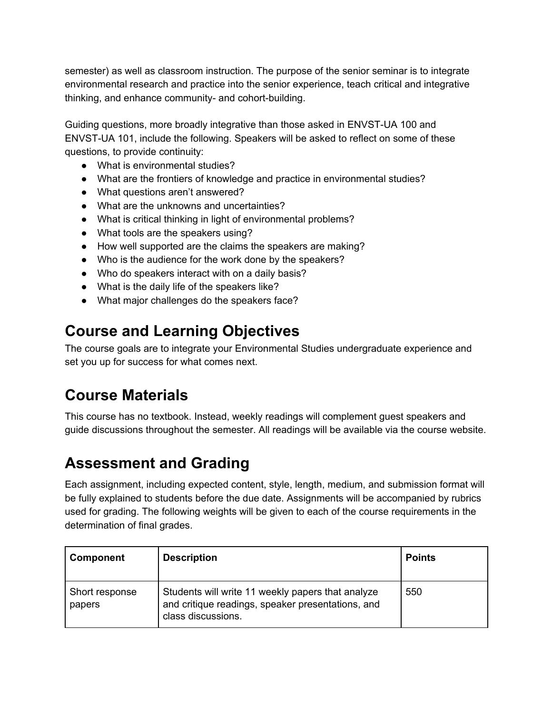semester) as well as classroom instruction. The purpose of the senior seminar is to integrate environmental research and practice into the senior experience, teach critical and integrative thinking, and enhance community- and cohort-building.

Guiding questions, more broadly integrative than those asked in ENVST-UA 100 and ENVST-UA 101, include the following. Speakers will be asked to reflect on some of these questions, to provide continuity:

- What is environmental studies?
- What are the frontiers of knowledge and practice in environmental studies?
- What questions aren't answered?
- What are the unknowns and uncertainties?
- What is critical thinking in light of environmental problems?
- What tools are the speakers using?
- How well supported are the claims the speakers are making?
- Who is the audience for the work done by the speakers?
- Who do speakers interact with on a daily basis?
- What is the daily life of the speakers like?
- What major challenges do the speakers face?

## **Course and Learning Objectives**

The course goals are to integrate your Environmental Studies undergraduate experience and set you up for success for what comes next.

#### **Course Materials**

This course has no textbook. Instead, weekly readings will complement guest speakers and guide discussions throughout the semester. All readings will be available via the course website.

#### **Assessment and Grading**

Each assignment, including expected content, style, length, medium, and submission format will be fully explained to students before the due date. Assignments will be accompanied by rubrics used for grading. The following weights will be given to each of the course requirements in the determination of final grades.

| <b>Component</b>         | <b>Description</b>                                                                                                           | <b>Points</b> |
|--------------------------|------------------------------------------------------------------------------------------------------------------------------|---------------|
| Short response<br>papers | Students will write 11 weekly papers that analyze<br>and critique readings, speaker presentations, and<br>class discussions. | 550           |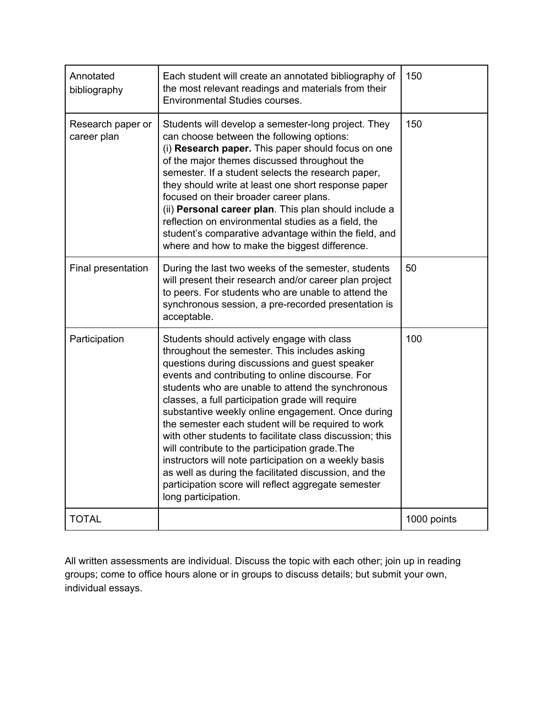| Annotated<br>bibliography        | Each student will create an annotated bibliography of<br>the most relevant readings and materials from their<br><b>Environmental Studies courses.</b>                                                                                                                                                                                                                                                                                                                                                                                                                                                                                                                                                                                |             |
|----------------------------------|--------------------------------------------------------------------------------------------------------------------------------------------------------------------------------------------------------------------------------------------------------------------------------------------------------------------------------------------------------------------------------------------------------------------------------------------------------------------------------------------------------------------------------------------------------------------------------------------------------------------------------------------------------------------------------------------------------------------------------------|-------------|
| Research paper or<br>career plan | Students will develop a semester-long project. They<br>can choose between the following options:<br>(i) Research paper. This paper should focus on one<br>of the major themes discussed throughout the<br>semester. If a student selects the research paper,<br>they should write at least one short response paper<br>focused on their broader career plans.<br>(ii) Personal career plan. This plan should include a<br>reflection on environmental studies as a field, the<br>student's comparative advantage within the field, and<br>where and how to make the biggest difference.                                                                                                                                              | 150         |
| Final presentation               | During the last two weeks of the semester, students<br>will present their research and/or career plan project<br>to peers. For students who are unable to attend the<br>synchronous session, a pre-recorded presentation is<br>acceptable.                                                                                                                                                                                                                                                                                                                                                                                                                                                                                           | 50          |
| Participation                    | Students should actively engage with class<br>throughout the semester. This includes asking<br>questions during discussions and guest speaker<br>events and contributing to online discourse. For<br>students who are unable to attend the synchronous<br>classes, a full participation grade will require<br>substantive weekly online engagement. Once during<br>the semester each student will be required to work<br>with other students to facilitate class discussion; this<br>will contribute to the participation grade. The<br>instructors will note participation on a weekly basis<br>as well as during the facilitated discussion, and the<br>participation score will reflect aggregate semester<br>long participation. | 100         |
| <b>TOTAL</b>                     |                                                                                                                                                                                                                                                                                                                                                                                                                                                                                                                                                                                                                                                                                                                                      | 1000 points |

All written assessments are individual. Discuss the topic with each other; join up in reading groups; come to office hours alone or in groups to discuss details; but submit your own, individual essays.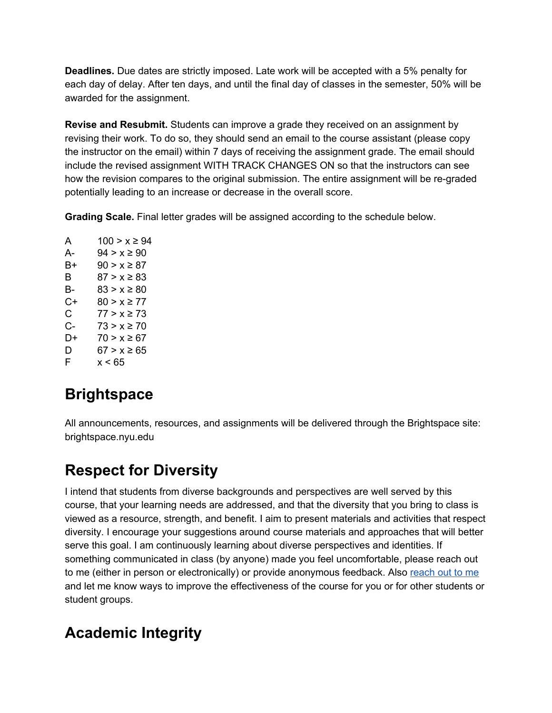**Deadlines.** Due dates are strictly imposed. Late work will be accepted with a 5% penalty for each day of delay. After ten days, and until the final day of classes in the semester, 50% will be awarded for the assignment.

**Revise and Resubmit.** Students can improve a grade they received on an assignment by revising their work. To do so, they should send an email to the course assistant (please copy the instructor on the email) within 7 days of receiving the assignment grade. The email should include the revised assignment WITH TRACK CHANGES ON so that the instructors can see how the revision compares to the original submission. The entire assignment will be re-graded potentially leading to an increase or decrease in the overall score.

**Grading Scale.** Final letter grades will be assigned according to the schedule below.

A  $100 > x ≥ 94$ A-  $94 > x ≥ 90$ B+  $90 > x \ge 87$ B  $87 > x ≥ 83$ B-  $83 > x ≥ 80$  $C+ 80 > x \ge 77$ C  $77 > x ≥ 73$ C-  $73 > x ≥ 70$ D+  $70 > x \ge 67$ D  $67 > x \ge 65$  $F \times 65$ 

## **Brightspace**

All announcements, resources, and assignments will be delivered through the Brightspace site: brightspace.nyu.edu

## **Respect for Diversity**

I intend that students from diverse backgrounds and perspectives are well served by this course, that your learning needs are addressed, and that the diversity that you bring to class is viewed as a resource, strength, and benefit. I aim to present materials and activities that respect diversity. I encourage your suggestions around course materials and approaches that will better serve this goal. I am continuously learning about diverse perspectives and identities. If something communicated in class (by anyone) made you feel uncomfortable, please reach out to me (either in person or electronically) or provide anonymous feedback. Also [reach](mailto:kimberly.carlson@nyu.edu) out to me and let me know ways to improve the effectiveness of the course for you or for other students or student groups.

## **Academic Integrity**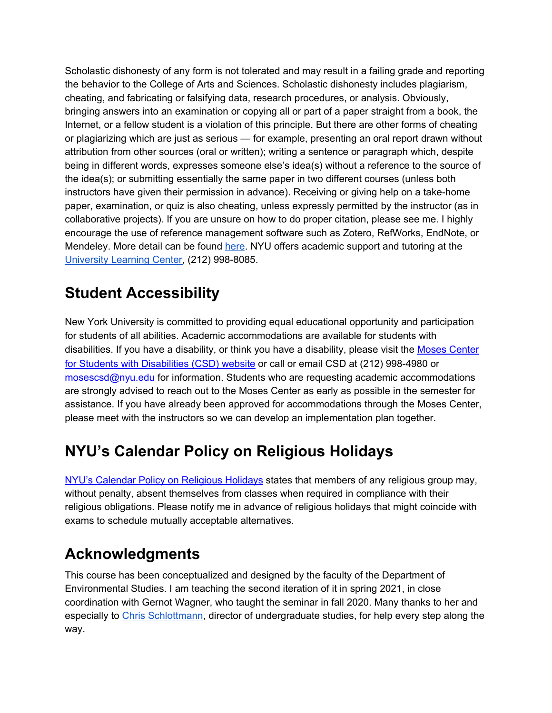Scholastic dishonesty of any form is not tolerated and may result in a failing grade and reporting the behavior to the College of Arts and Sciences. Scholastic dishonesty includes plagiarism, cheating, and fabricating or falsifying data, research procedures, or analysis. Obviously, bringing answers into an examination or copying all or part of a paper straight from a book, the Internet, or a fellow student is a violation of this principle. But there are other forms of cheating or plagiarizing which are just as serious — for example, presenting an oral report drawn without attribution from other sources (oral or written); writing a sentence or paragraph which, despite being in different words, expresses someone else's idea(s) without a reference to the source of the idea(s); or submitting essentially the same paper in two different courses (unless both instructors have given their permission in advance). Receiving or giving help on a take-home paper, examination, or quiz is also cheating, unless expressly permitted by the instructor (as in collaborative projects). If you are unsure on how to do proper citation, please see me. I highly encourage the use of reference management software such as Zotero, RefWorks, EndNote, or Mendeley. More detail can be found [here.](https://cas.nyu.edu/content/nyu-as/cas/academic-integrity.html) NYU offers academic support and tutoring at the [University](https://www.nyu.edu/students/academic-services/university-learning-centers.html) Learning Center, (212) 998-8085.

## **Student Accessibility**

New York University is committed to providing equal educational opportunity and participation for students of all abilities. Academic accommodations are available for students with disabilities. If you have a disability, or think you have a disability, please visit the [M](https://www.nyu.edu/students/communities-and-groups/students-with-disabilities.html)oses [Center](https://www.nyu.edu/students/communities-and-groups/students-with-disabilities.html) for Students with [Disabilities](https://www.nyu.edu/students/communities-and-groups/students-with-disabilities.html) (CSD) website or call or email CSD at (212) 998-4980 or mosescsd@nyu.edu for information. Students who are requesting academic accommodations are strongly advised to reach out to the Moses Center as early as possible in the semester for assistance. If you have already been approved for accommodations through the Moses Center, please meet with the instructors so we can develop an implementation plan together.

## **NYU's Calendar Policy on Religious Holidays**

NYU's Calendar Policy on [Religious](https://www.nyu.edu/about/policies-guidelines-compliance/policies-and-guidelines/university-calendar-policy-on-religious-holidays.html) Holidays states that members of any religious group may, without penalty, absent themselves from classes when required in compliance with their religious obligations. Please notify me in advance of religious holidays that might coincide with exams to schedule mutually acceptable alternatives.

## **Acknowledgments**

This course has been conceptualized and designed by the faculty of the Department of Environmental Studies. I am teaching the second iteration of it in spring 2021, in close coordination with Gernot Wagner, who taught the seminar in fall 2020. Many thanks to her and especially to Chris [Schlottmann](https://as.nyu.edu/content/nyu-as/as/faculty/christopher-schlottmann.html), director of undergraduate studies, for help every step along the way.